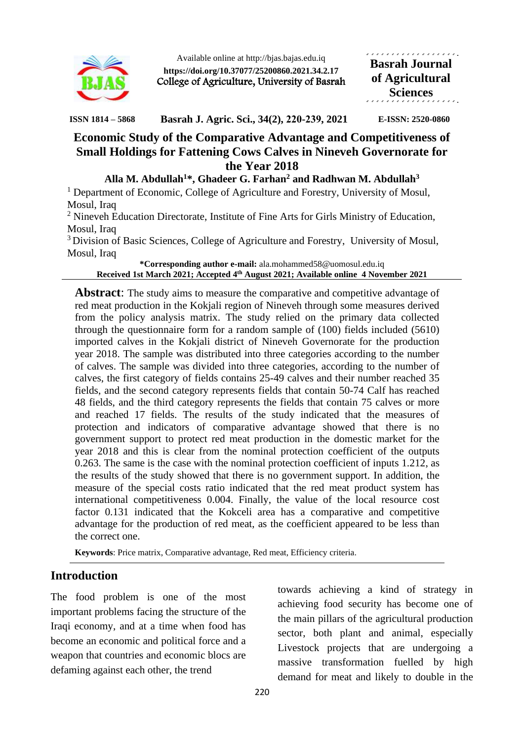

Available online at http://bjas.bajas.edu.iq **https://doi.org/10.37077/25200860.2021.34.2.17** College of Agriculture, University of Basrah المتمام والمتمام والمتمام والمتمام والمتمار **Basrah Journal of Agricultural Sciences**

**ISSN 1814 – 5868 Basrah J. Agric. Sci., 34(2), 220-239, 2021 E-ISSN: 2520-0860**

# **Economic Study of the Comparative Advantage and Competitiveness of Small Holdings for Fattening Cows Calves in Nineveh Governorate for the Year 2018**

**Alla M. Abdullah<sup>1</sup>\*, Ghadeer G. Farhan<sup>2</sup> and Radhwan M. Abdullah<sup>3</sup>**

 $<sup>1</sup>$  Department of Economic, College of Agriculture and Forestry, University of Mosul,</sup> Mosul, Iraq

<sup>2</sup> Nineveh Education Directorate, Institute of Fine Arts for Girls Ministry of Education, Mosul, Iraq

<sup>3</sup> Division of Basic Sciences, College of Agriculture and Forestry, University of Mosul, Mosul, Iraq

**\*Corresponding author e-mail:** ala.mohammed58@uomosul.edu.iq **Received 1st March 2021; Accepted 4 th August 2021; Available online 4 November 2021**

**Abstract:** The study aims to measure the comparative and competitive advantage of red meat production in the Kokjali region of Nineveh through some measures derived from the policy analysis matrix. The study relied on the primary data collected through the questionnaire form for a random sample of (100) fields included (5610) imported calves in the Kokjali district of Nineveh Governorate for the production year 2018. The sample was distributed into three categories according to the number of calves. The sample was divided into three categories, according to the number of calves, the first category of fields contains 25-49 calves and their number reached 35 fields, and the second category represents fields that contain 50-74 Calf has reached 48 fields, and the third category represents the fields that contain 75 calves or more and reached 17 fields. The results of the study indicated that the measures of protection and indicators of comparative advantage showed that there is no government support to protect red meat production in the domestic market for the year 2018 and this is clear from the nominal protection coefficient of the outputs 0.263. The same is the case with the nominal protection coefficient of inputs 1.212, as the results of the study showed that there is no government support. In addition, the measure of the special costs ratio indicated that the red meat product system has international competitiveness 0.004. Finally, the value of the local resource cost factor 0.131 indicated that the Kokceli area has a comparative and competitive advantage for the production of red meat, as the coefficient appeared to be less than the correct one.

**Keywords**: Price matrix, Comparative advantage, Red meat, Efficiency criteria.

## **Introduction**

The food problem is one of the most important problems facing the structure of the Iraqi economy, and at a time when food has become an economic and political force and a weapon that countries and economic blocs are defaming against each other, the trend

towards achieving a kind of strategy in achieving food security has become one of the main pillars of the agricultural production sector, both plant and animal, especially Livestock projects that are undergoing a massive transformation fuelled by high demand for meat and likely to double in the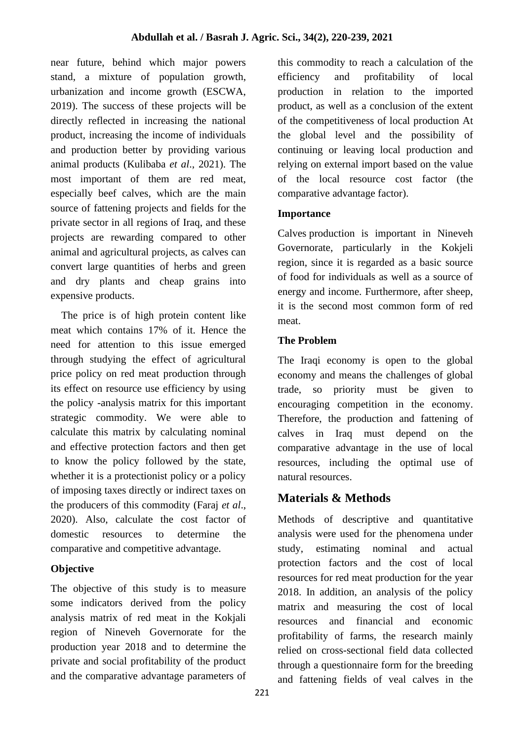near future, behind which major powers stand, a mixture of population growth, urbanization and income growth (ESCWA, 2019). The success of these projects will be directly reflected in increasing the national product, increasing the income of individuals and production better by providing various animal products (Kulibaba *et al*., 2021). The most important of them are red meat, especially beef calves, which are the main source of fattening projects and fields for the private sector in all regions of Iraq, and these projects are rewarding compared to other animal and agricultural projects, as calves can convert large quantities of herbs and green and dry plants and cheap grains into expensive products.

 The price is of high protein content like meat which contains 17% of it. Hence the need for attention to this issue emerged through studying the effect of agricultural price policy on red meat production through its effect on resource use efficiency by using the policy -analysis matrix for this important strategic commodity. We were able to calculate this matrix by calculating nominal and effective protection factors and then get to know the policy followed by the state, whether it is a protectionist policy or a policy of imposing taxes directly or indirect taxes on the producers of this commodity (Faraj *et al*., 2020). Also, calculate the cost factor of domestic resources to determine the comparative and competitive advantage.

## **Objective**

The objective of this study is to measure some indicators derived from the policy analysis matrix of red meat in the Kokjali region of Nineveh Governorate for the production year 2018 and to determine the private and social profitability of the product and the comparative advantage parameters of this commodity to reach a calculation of the efficiency and profitability of local production in relation to the imported product, as well as a conclusion of the extent of the competitiveness of local production At the global level and the possibility of continuing or leaving local production and relying on external import based on the value of the local resource cost factor (the comparative advantage factor).

## **Importance**

Calves production is important in Nineveh Governorate, particularly in the Kokjeli region, since it is regarded as a basic source of food for individuals as well as a source of energy and income. Furthermore, after sheep, it is the second most common form of red meat.

### **The Problem**

The Iraqi economy is open to the global economy and means the challenges of global trade, so priority must be given to encouraging competition in the economy. Therefore, the production and fattening of calves in Iraq must depend on the comparative advantage in the use of local resources, including the optimal use of natural resources.

# **Materials & Methods**

Methods of descriptive and quantitative analysis were used for the phenomena under study, estimating nominal and actual protection factors and the cost of local resources for red meat production for the year 2018. In addition, an analysis of the policy matrix and measuring the cost of local resources and financial and economic profitability of farms, the research mainly relied on cross-sectional field data collected through a questionnaire form for the breeding and fattening fields of veal calves in the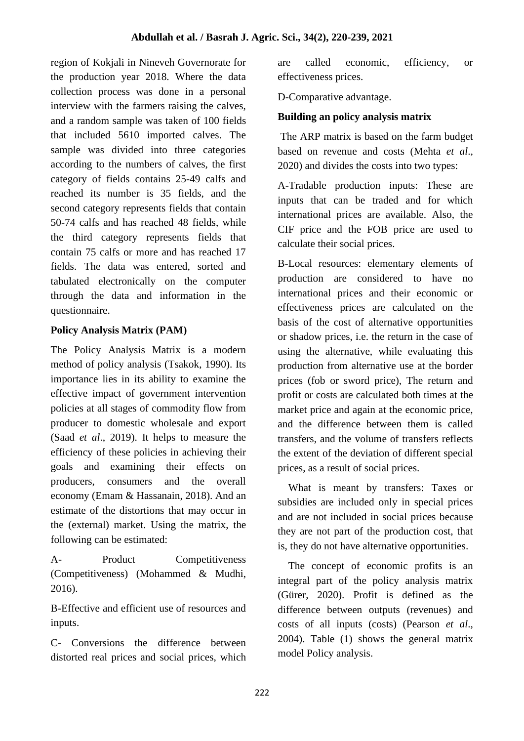region of Kokjali in Nineveh Governorate for the production year 2018. Where the data collection process was done in a personal interview with the farmers raising the calves, and a random sample was taken of 100 fields that included 5610 imported calves. The sample was divided into three categories according to the numbers of calves, the first category of fields contains 25-49 calfs and reached its number is 35 fields, and the second category represents fields that contain 50-74 calfs and has reached 48 fields, while the third category represents fields that contain 75 calfs or more and has reached 17 fields. The data was entered, sorted and tabulated electronically on the computer through the data and information in the questionnaire.

## **Policy Analysis Matrix (PAM)**

The Policy Analysis Matrix is a modern method of policy analysis (Tsakok, 1990). Its importance lies in its ability to examine the effective impact of government intervention policies at all stages of commodity flow from producer to domestic wholesale and export (Saad *et al*., 2019). It helps to measure the efficiency of these policies in achieving their goals and examining their effects on producers, consumers and the overall economy (Emam & Hassanain, 2018). And an estimate of the distortions that may occur in the (external) market. Using the matrix, the following can be estimated:

A- Product Competitiveness (Competitiveness) (Mohammed & Mudhi, 2016).

B-Effective and efficient use of resources and inputs.

C- Conversions the difference between distorted real prices and social prices, which are called economic, efficiency, or effectiveness prices.

D-Comparative advantage.

### **Building an policy analysis matrix**

The ARP matrix is based on the farm budget based on revenue and costs (Mehta *et al*., 2020) and divides the costs into two types:

A-Tradable production inputs: These are inputs that can be traded and for which international prices are available. Also, the CIF price and the FOB price are used to calculate their social prices.

B-Local resources: elementary elements of production are considered to have no international prices and their economic or effectiveness prices are calculated on the basis of the cost of alternative opportunities or shadow prices, i.e. the return in the case of using the alternative, while evaluating this production from alternative use at the border prices (fob or sword price), The return and profit or costs are calculated both times at the market price and again at the economic price, and the difference between them is called transfers, and the volume of transfers reflects the extent of the deviation of different special prices, as a result of social prices.

 What is meant by transfers: Taxes or subsidies are included only in special prices and are not included in social prices because they are not part of the production cost, that is, they do not have alternative opportunities.

 The concept of economic profits is an integral part of the policy analysis matrix (Gürer, 2020). Profit is defined as the difference between outputs (revenues) and costs of all inputs (costs) (Pearson *et al*., 2004). Table (1) shows the general matrix model Policy analysis.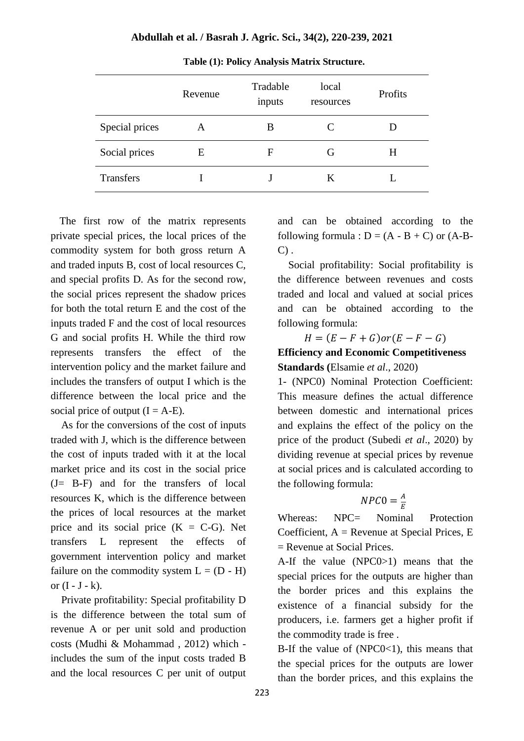|                  | Revenue | Tradable<br>inputs | local<br>resources | Profits |
|------------------|---------|--------------------|--------------------|---------|
| Special prices   | A       | B                  | €                  |         |
| Social prices    | Е       | F                  | G                  | H       |
| <b>Transfers</b> |         |                    | K                  |         |

**Table (1): Policy Analysis Matrix Structure.**

 The first row of the matrix represents private special prices, the local prices of the commodity system for both gross return A and traded inputs B, cost of local resources C, and special profits D. As for the second row, the social prices represent the shadow prices for both the total return E and the cost of the inputs traded F and the cost of local resources G and social profits H. While the third row represents transfers the effect of the intervention policy and the market failure and includes the transfers of output I which is the difference between the local price and the social price of output  $(I = A-E)$ .

 As for the conversions of the cost of inputs traded with J, which is the difference between the cost of inputs traded with it at the local market price and its cost in the social price (J= B-F) and for the transfers of local resources K, which is the difference between the prices of local resources at the market price and its social price  $(K = C - G)$ . Net transfers L represent the effects of government intervention policy and market failure on the commodity system  $L = (D - H)$ or  $(I - J - k)$ .

 Private profitability: Special profitability D is the difference between the total sum of revenue A or per unit sold and production costs (Mudhi & Mohammad , 2012) which includes the sum of the input costs traded B and the local resources C per unit of output

and can be obtained according to the following formula :  $D = (A - B + C)$  or  $(A - B - C)$  $C$ ).

 Social profitability: Social profitability is the difference between revenues and costs traded and local and valued at social prices and can be obtained according to the following formula:

 $H = (E - F + G)$ or $(E - F - G)$ 

### **Efficiency and Economic Competitiveness Standards (**Elsamie *et al*., 2020)

1- (NPC0) Nominal Protection Coefficient: This measure defines the actual difference between domestic and international prices and explains the effect of the policy on the price of the product (Subedi *et al*., 2020) by dividing revenue at special prices by revenue at social prices and is calculated according to the following formula:

#### $NPCO = \frac{A}{E}$ E

Whereas: NPC= Nominal Protection Coefficient,  $A =$  Revenue at Special Prices, E = Revenue at Social Prices.

A-If the value (NPC0>1) means that the special prices for the outputs are higher than the border prices and this explains the existence of a financial subsidy for the producers, i.e. farmers get a higher profit if the commodity trade is free .

B-If the value of  $(NPC0<1)$ , this means that the special prices for the outputs are lower than the border prices, and this explains the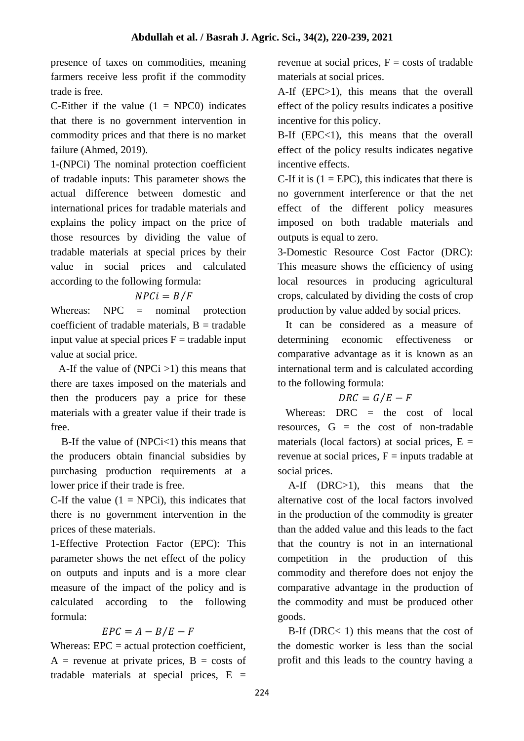presence of taxes on commodities, meaning farmers receive less profit if the commodity trade is free.

C-Either if the value  $(1 = NPCO)$  indicates that there is no government intervention in commodity prices and that there is no market failure (Ahmed, 2019).

1-(NPCi) The nominal protection coefficient of tradable inputs: This parameter shows the actual difference between domestic and international prices for tradable materials and explains the policy impact on the price of those resources by dividing the value of tradable materials at special prices by their value in social prices and calculated according to the following formula:

# $NPCi = B/F$

Whereas: NPC = nominal protection coefficient of tradable materials,  $B =$  tradable input value at special prices  $F =$  tradable input value at social price.

A-If the value of  $(NPCi > 1)$  this means that there are taxes imposed on the materials and then the producers pay a price for these materials with a greater value if their trade is free.

B-If the value of  $(NPCi<1)$  this means that the producers obtain financial subsidies by purchasing production requirements at a lower price if their trade is free.

C-If the value  $(1 = \text{NPCi})$ , this indicates that there is no government intervention in the prices of these materials.

1-Effective Protection Factor (EPC): This parameter shows the net effect of the policy on outputs and inputs and is a more clear measure of the impact of the policy and is calculated according to the following formula:

# $EPC = A - B/E - F$

Whereas:  $EPC = actual$  protection coefficient,  $A$  = revenue at private prices,  $B$  = costs of tradable materials at special prices,  $E =$ 

revenue at social prices,  $F = \text{costs}$  of tradable materials at social prices.

A-If (EPC>1), this means that the overall effect of the policy results indicates a positive incentive for this policy.

B-If  $(EPC<1)$ , this means that the overall effect of the policy results indicates negative incentive effects.

C-If it is  $(1 = EPC)$ , this indicates that there is no government interference or that the net effect of the different policy measures imposed on both tradable materials and outputs is equal to zero.

3-Domestic Resource Cost Factor (DRC): This measure shows the efficiency of using local resources in producing agricultural crops, calculated by dividing the costs of crop production by value added by social prices.

 It can be considered as a measure of determining economic effectiveness or comparative advantage as it is known as an international term and is calculated according to the following formula:

# $DRC = G/E - F$

Whereas:  $DRC =$  the cost of local resources,  $G =$  the cost of non-tradable materials (local factors) at social prices,  $E =$ revenue at social prices,  $F =$  inputs tradable at social prices.

 A-If (DRC>1), this means that the alternative cost of the local factors involved in the production of the commodity is greater than the added value and this leads to the fact that the country is not in an international competition in the production of this commodity and therefore does not enjoy the comparative advantage in the production of the commodity and must be produced other goods.

 B-If (DRC< 1) this means that the cost of the domestic worker is less than the social profit and this leads to the country having a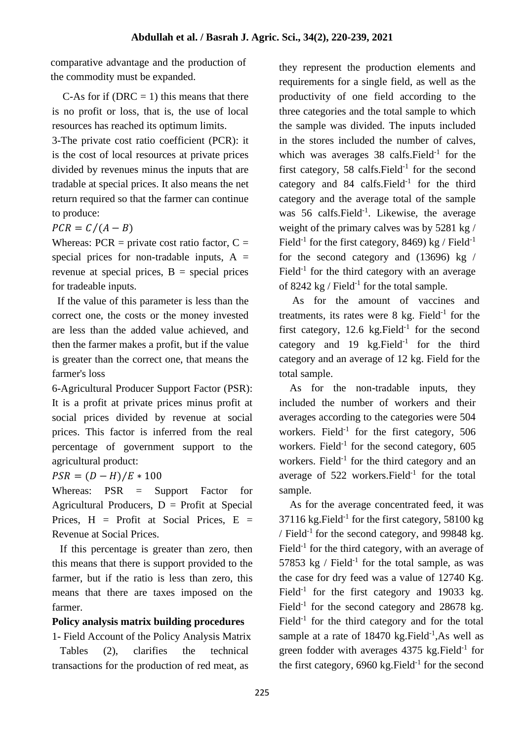comparative advantage and the production of the commodity must be expanded.

C-As for if (DRC  $= 1$ ) this means that there is no profit or loss, that is, the use of local resources has reached its optimum limits.

3-The private cost ratio coefficient (PCR): it is the cost of local resources at private prices divided by revenues minus the inputs that are tradable at special prices. It also means the net return required so that the farmer can continue to produce:

 $PCR = C/(A - B)$ 

Whereas:  $PCR = private cost ratio factor, C =$ special prices for non-tradable inputs,  $A =$ revenue at special prices,  $B =$  special prices for tradeable inputs.

 If the value of this parameter is less than the correct one, the costs or the money invested are less than the added value achieved, and then the farmer makes a profit, but if the value is greater than the correct one, that means the farmer's loss

6-Agricultural Producer Support Factor (PSR): It is a profit at private prices minus profit at social prices divided by revenue at social prices. This factor is inferred from the real percentage of government support to the agricultural product:

 $PSR = (D - H)/E * 100$ 

Whereas: PSR = Support Factor for Agricultural Producers,  $D =$  Profit at Special Prices,  $H =$  Profit at Social Prices,  $E =$ Revenue at Social Prices.

 If this percentage is greater than zero, then this means that there is support provided to the farmer, but if the ratio is less than zero, this means that there are taxes imposed on the farmer.

## **Policy analysis matrix building procedures**

1- Field Account of the Policy Analysis Matrix Tables (2), clarifies the technical transactions for the production of red meat, as

they represent the production elements and requirements for a single field, as well as the productivity of one field according to the three categories and the total sample to which the sample was divided. The inputs included in the stores included the number of calves, which was averages  $38$  calfs. Field<sup>-1</sup> for the first category, 58 calfs. Field $^{-1}$  for the second category and 84 calfs. Field<sup>-1</sup> for the third category and the average total of the sample was 56 calfs. Field<sup>-1</sup>. Likewise, the average weight of the primary calves was by 5281 kg / Field<sup>-1</sup> for the first category, 8469) kg / Field<sup>-1</sup> for the second category and (13696) kg / Field<sup>-1</sup> for the third category with an average of 8242 kg / Field<sup>-1</sup> for the total sample.

 As for the amount of vaccines and treatments, its rates were  $8 \text{ kg}$ . Field<sup>-1</sup> for the first category,  $12.6$  kg. Field<sup>-1</sup> for the second category and  $19 \text{ kg.Field}^{-1}$  for the third category and an average of 12 kg. Field for the total sample.

 As for the non-tradable inputs, they included the number of workers and their averages according to the categories were 504 workers. Field<sup>-1</sup> for the first category, 506 workers. Field<sup>-1</sup> for the second category,  $605$ workers. Field<sup>-1</sup> for the third category and an average of  $522$  workers. Field<sup>-1</sup> for the total sample.

 As for the average concentrated feed, it was  $37116$  kg. Field<sup>-1</sup> for the first category, 58100 kg / Field<sup>-1</sup> for the second category, and 99848 kg. Field<sup>-1</sup> for the third category, with an average of 57853 kg / Field<sup>-1</sup> for the total sample, as was the case for dry feed was a value of 12740 Kg. Field<sup>-1</sup> for the first category and 19033 kg. Field<sup>-1</sup> for the second category and 28678 kg. Field<sup>-1</sup> for the third category and for the total sample at a rate of  $18470$  kg. Field<sup>-1</sup>, As well as green fodder with averages  $4375$  kg. Field<sup>-1</sup> for the first category,  $6960$  kg. Field<sup>-1</sup> for the second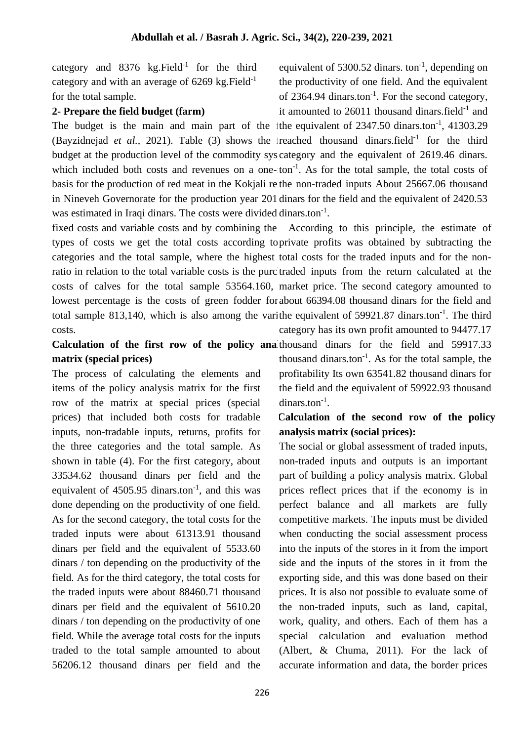category and  $8376$  kg. Field<sup>-1</sup> for the third category and with an average of  $6269$  kg. Field<sup>-1</sup> for the total sample.

### **2- Prepare the field budget (farm)**

The budget is the main and main part of the 1the equivalent of  $2347.50$  dinars.ton<sup>-1</sup>, 41303.29 (Bayzidnejad et al., 2021). Table  $(3)$  shows the freached thousand dinars.field<sup>-1</sup> for the third budget at the production level of the commodity syscategory and the equivalent of 2619.46 dinars. which included both costs and revenues on a one- $\text{ton}^{-1}$ . As for the total sample, the total costs of basis for the production of red meat in the Kokjali rethe non-traded inputs About 25667.06 thousand in Nineveh Governorate for the production year 201 dinars for the field and the equivalent of 2420.53 was estimated in Iraqi dinars. The costs were divided dinars.ton $^{-1}$ .

fixed costs and variable costs and by combining the According to this principle, the estimate of types of costs we get the total costs according to private profits was obtained by subtracting the categories and the total sample, where the highest total costs for the traded inputs and for the nonratio in relation to the total variable costs is the purc traded inputs from the return calculated at the costs of calves for the total sample 53564.160, market price. The second category amounted to lowest percentage is the costs of green fodder for about 66394.08 thousand dinars for the field and total sample 813,140, which is also among the varithe equivalent of 59921.87 dinars.ton $^{-1}$ . The third costs. category has its own profit amounted to 94477.17

### Calculation of the first row of the policy analthousand dinars for the field and 59917.33 **matrix (special prices)**

The process of calculating the elements and items of the policy analysis matrix for the first row of the matrix at special prices (special prices) that included both costs for tradable inputs, non-tradable inputs, returns, profits for the three categories and the total sample. As shown in table (4). For the first category, about 33534.62 thousand dinars per field and the equivalent of  $4505.95$  dinars.ton<sup>-1</sup>, and this was done depending on the productivity of one field. As for the second category, the total costs for the traded inputs were about 61313.91 thousand dinars per field and the equivalent of 5533.60 dinars / ton depending on the productivity of the field. As for the third category, the total costs for the traded inputs were about 88460.71 thousand dinars per field and the equivalent of 5610.20 dinars / ton depending on the productivity of one field. While the average total costs for the inputs traded to the total sample amounted to about 56206.12 thousand dinars per field and the

thousand dinars.ton $^{-1}$ . As for the total sample, the profitability Its own 63541.82 thousand dinars for the field and the equivalent of 59922.93 thousand dinars.ton<sup>-1</sup>.

## **Calculation of the second row of the policy analysis matrix (social prices):**

The social or global assessment of traded inputs, non-traded inputs and outputs is an important part of building a policy analysis matrix. Global prices reflect prices that if the economy is in perfect balance and all markets are fully competitive markets. The inputs must be divided when conducting the social assessment process into the inputs of the stores in it from the import side and the inputs of the stores in it from the exporting side, and this was done based on their prices. It is also not possible to evaluate some of the non-traded inputs, such as land, capital, work, quality, and others. Each of them has a special calculation and evaluation method (Albert, & Chuma, 2011). For the lack of accurate information and data, the border prices

equivalent of  $5300.52$  dinars. ton<sup>-1</sup>, depending on the productivity of one field. And the equivalent of 2364.94 dinars.ton<sup>-1</sup>. For the second category, it amounted to  $26011$  thousand dinars. field<sup>-1</sup> and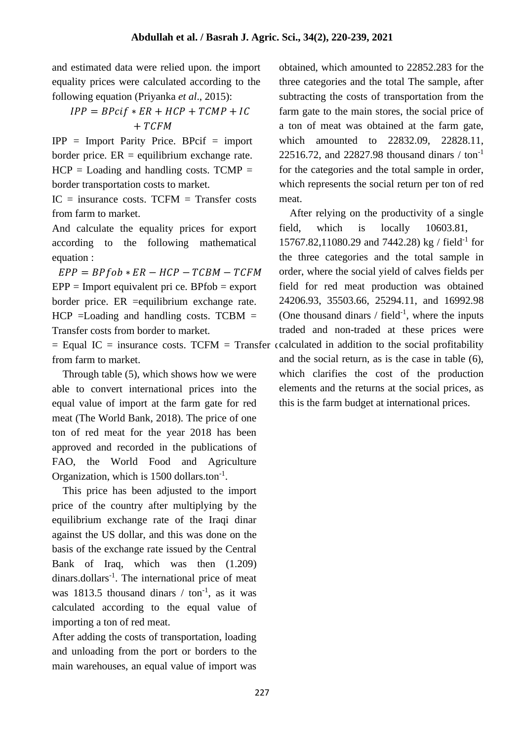and estimated data were relied upon. the import equality prices were calculated according to the following equation (Priyanka *et al*., 2015):

# $IPP = BPci f * ER + HCP + TCMP + IC$  $+ TCFM$

IPP = Import Parity Price. BPcif = import border price.  $ER =$  equilibrium exchange rate.  $HCP =$  Loading and handling costs. TCMP = border transportation costs to market.

 $IC =$  insurance costs. TCFM = Transfer costs from farm to market.

And calculate the equality prices for export according to the following mathematical equation :

 $EPP = BPfob * ER - HCP - TCBM - TCFM$  $EPP =$  Import equivalent pri ce. BPfob = export border price. ER =equilibrium exchange rate.  $HCP =$ Loading and handling costs. TCBM = Transfer costs from border to market.

 $=$  Equal IC  $=$  insurance costs. TCFM  $=$  Transfer coalculated in addition to the social profitability from farm to market.

 Through table (5), which shows how we were able to convert international prices into the equal value of import at the farm gate for red meat (The World Bank, 2018). The price of one ton of red meat for the year 2018 has been approved and recorded in the publications of FAO, the World Food and Agriculture Organization, which is  $1500$  dollars.ton<sup>-1</sup>.

 This price has been adjusted to the import price of the country after multiplying by the equilibrium exchange rate of the Iraqi dinar against the US dollar, and this was done on the basis of the exchange rate issued by the Central Bank of Iraq, which was then (1.209) dinars.dollars<sup>-1</sup>. The international price of meat was 1813.5 thousand dinars  $/$  ton<sup>-1</sup>, as it was calculated according to the equal value of importing a ton of red meat.

After adding the costs of transportation, loading and unloading from the port or borders to the main warehouses, an equal value of import was

obtained, which amounted to 22852.283 for the three categories and the total The sample, after subtracting the costs of transportation from the farm gate to the main stores, the social price of a ton of meat was obtained at the farm gate, which amounted to 22832.09, 22828.11, 22516.72, and 22827.98 thousand dinars  $/$  ton<sup>-1</sup> for the categories and the total sample in order, which represents the social return per ton of red meat.

 After relying on the productivity of a single field, which is locally 10603.81, 15767.82,11080.29 and 7442.28) kg / field-1 for the three categories and the total sample in order, where the social yield of calves fields per field for red meat production was obtained 24206.93, 35503.66, 25294.11, and 16992.98 (One thousand dinars  $/$  field<sup>-1</sup>, where the inputs traded and non-traded at these prices were and the social return, as is the case in table (6), which clarifies the cost of the production elements and the returns at the social prices, as this is the farm budget at international prices.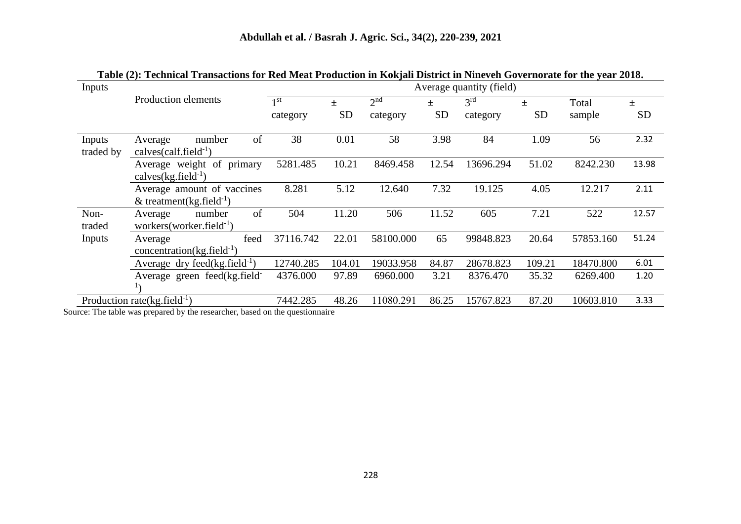| Inputs              | Tubic (2)) Technicul Trubactions for twa breact Founction in Iwajan District in Functen Obternorate for the fear 2010) |                             |                    |                             |                | Average quantity (field)    |                |                 |                |
|---------------------|------------------------------------------------------------------------------------------------------------------------|-----------------------------|--------------------|-----------------------------|----------------|-----------------------------|----------------|-----------------|----------------|
|                     | Production elements                                                                                                    | 1 <sup>st</sup><br>category | $\pm$<br><b>SD</b> | 2 <sup>nd</sup><br>category | 士<br><b>SD</b> | 3 <sup>rd</sup><br>category | 士<br><b>SD</b> | Total<br>sample | 土<br><b>SD</b> |
| Inputs<br>traded by | of<br>number<br>Average<br>calves $\text{(calf.field}^{-1})$                                                           | 38                          | 0.01               | 58                          | 3.98           | 84                          | 1.09           | 56              | 2.32           |
|                     | Average weight of primary<br>calves $(kg$ .field $^{-1})$                                                              | 5281.485                    | 10.21              | 8469.458                    | 12.54          | 13696.294                   | 51.02          | 8242.230        | 13.98          |
|                     | Average amount of vaccines<br>& treatment(kg.field <sup>-1</sup> )                                                     | 8.281                       | 5.12               | 12.640                      | 7.32           | 19.125                      | 4.05           | 12.217          | 2.11           |
| Non-<br>traded      | of<br>number<br>Average<br>workers (worker.field $^{-1}$ )                                                             | 504                         | 11.20              | 506                         | 11.52          | 605                         | 7.21           | 522             | 12.57          |
| Inputs              | feed<br>Average<br>concentration(kg.field $^{-1}$ )                                                                    | 37116.742                   | 22.01              | 58100.000                   | 65             | 99848.823                   | 20.64          | 57853.160       | 51.24          |
|                     | Average dry feed(kg.field $^{-1}$ )                                                                                    | 12740.285                   | 104.01             | 19033.958                   | 84.87          | 28678.823                   | 109.21         | 18470.800       | 6.01           |
|                     | Average green feed(kg.field-                                                                                           | 4376.000                    | 97.89              | 6960.000                    | 3.21           | 8376.470                    | 35.32          | 6269.400        | 1.20           |
|                     | Production rate( $kg$ .field $^{-1}$ )                                                                                 | 7442.285                    | 48.26              | 11080.291                   | 86.25          | 15767.823                   | 87.20          | 10603.810       | 3.33           |

**Table (2): Technical Transactions for Red Meat Production in Kokjali District in Nineveh Governorate for the year 2018.**

Source: The table was prepared by the researcher, based on the questionnaire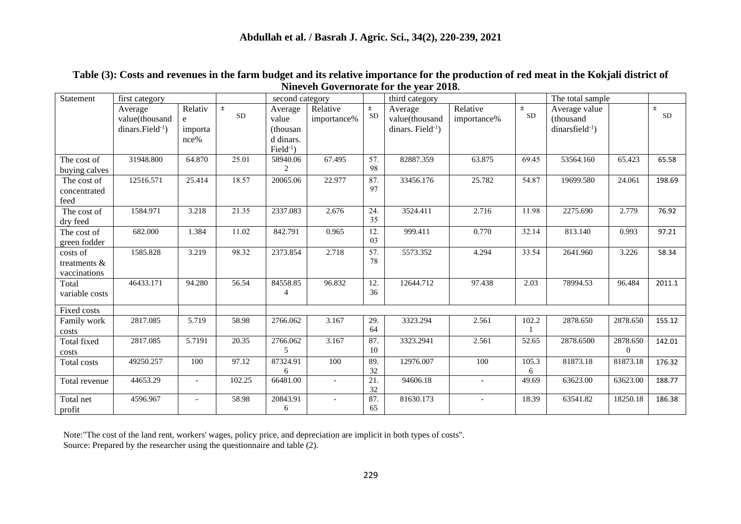| Statement                                | first category                                    |                                 |                    | second category                                           |                         |                    | third category                                       |                          |                    | The total sample                                  |                      |                    |
|------------------------------------------|---------------------------------------------------|---------------------------------|--------------------|-----------------------------------------------------------|-------------------------|--------------------|------------------------------------------------------|--------------------------|--------------------|---------------------------------------------------|----------------------|--------------------|
|                                          | Average<br>value(thousand<br>$dinars.Field^{-1})$ | Relativ<br>e<br>importa<br>nce% | $\pm$<br><b>SD</b> | Average<br>value<br>(thousan)<br>d dinars.<br>$Field-1$ ) | Relative<br>importance% | $\pm$<br><b>SD</b> | Average<br>value(thousand<br>dinars. Field $^{-1}$ ) | Relative<br>importance%  | $\pm$<br><b>SD</b> | Average value<br>(thousand<br>$dinarsfield^{-1})$ |                      | $\pm$<br><b>SD</b> |
| The cost of<br>buying calves             | 31948.800                                         | 64.870                          | 25.01              | 58940.06<br>$\overline{c}$                                | 67.495                  | 57.<br>98          | 82887.359                                            | 63.875                   | 69.45              | 53564.160                                         | 65.423               | 65.58              |
| The cost of<br>concentrated<br>feed      | 12516.571                                         | 25.414                          | 18.57              | 20065.06                                                  | 22.977                  | 87.<br>97          | 33456.176                                            | 25.782                   | 54.87              | 19699.580                                         | 24.061               | 198.69             |
| The cost of<br>dry feed                  | 1584.971                                          | 3.218                           | 21.35              | 2337.083                                                  | 2.676                   | 24.<br>35          | 3524.411                                             | 2.716                    | 11.98              | 2275.690                                          | 2.779                | 76.92              |
| The cost of<br>green fodder              | 682.000                                           | 1.384                           | 11.02              | 842.791                                                   | 0.965                   | 12.<br>03          | 999.411                                              | 0.770                    | 32.14              | 813.140                                           | 0.993                | 97.21              |
| costs of<br>treatments &<br>vaccinations | 1585.828                                          | 3.219                           | 98.32              | 2373.854                                                  | 2.718                   | 57.<br>78          | 5573.352                                             | 4.294                    | 33.54              | 2641.960                                          | 3.226                | 58.34              |
| Total<br>variable costs                  | 46433.171                                         | 94.280                          | 56.54              | 84558.85<br>4                                             | 96.832                  | 12.<br>36          | 12644.712                                            | 97.438                   | 2.03               | 78994.53                                          | 96.484               | 2011.1             |
| Fixed costs                              |                                                   |                                 |                    |                                                           |                         |                    |                                                      |                          |                    |                                                   |                      |                    |
| Family work<br>costs                     | 2817.085                                          | 5.719                           | 58.98              | 2766.062                                                  | 3.167                   | 29.<br>64          | 3323.294                                             | 2.561                    | 102.2              | 2878.650                                          | 2878.650             | 155.12             |
| Total fixed<br>costs                     | 2817.085                                          | 5.7191                          | 20.35              | 2766.062<br>5                                             | 3.167                   | 87.<br>10          | 3323.2941                                            | 2.561                    | 52.65              | 2878.6500                                         | 2878.650<br>$\Omega$ | 142.01             |
| Total costs                              | 49250.257                                         | 100                             | 97.12              | 87324.91<br>6                                             | 100                     | 89.<br>32          | 12976.007                                            | 100                      | 105.3<br>6         | 81873.18                                          | 81873.18             | 176.32             |
| Total revenue                            | 44653.29                                          | $\overline{\phantom{a}}$        | 102.25             | 66481.00                                                  |                         | 21.<br>32          | 94606.18                                             | $\overline{\phantom{a}}$ | 49.69              | 63623.00                                          | 63623.00             | 188.77             |
| Total net<br>profit                      | 4596.967                                          |                                 | 58.98              | 20843.91<br>6                                             |                         | 87.<br>65          | 81630.173                                            |                          | 18.39              | 63541.82                                          | 18250.18             | 186.38             |

**Table (3): Costs and revenues in the farm budget and its relative importance for the production of red meat in the Kokjali district of Nineveh Governorate for the year 2018.**

Note:"The cost of the land rent, workers' wages, policy price, and depreciation are implicit in both types of costs". Source: Prepared by the researcher using the questionnaire and table (2).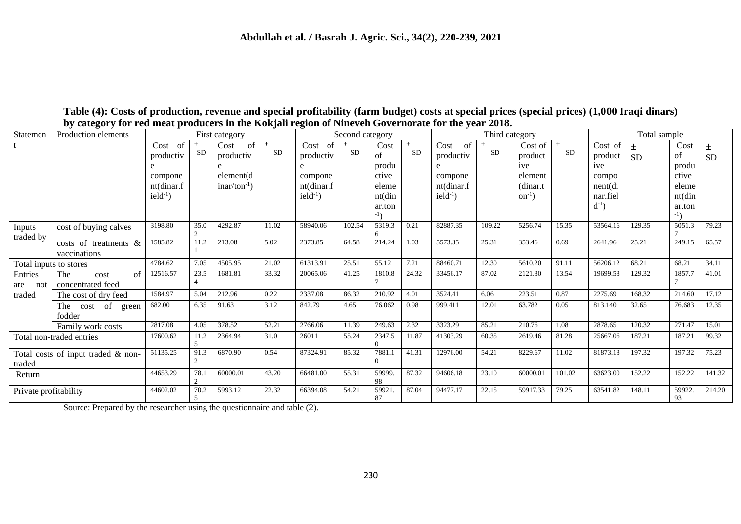| Statemen               | $\sim$ , cavegory for rea meat producers in the rior, and region of function covernorate for the $j$ car<br>Production elements |                                        |                    | First category                  |             |                                        | Second category    |                                                       |                    |                                            | Third category |                                            |                    |                                               | Total sample   |                                              |                |
|------------------------|---------------------------------------------------------------------------------------------------------------------------------|----------------------------------------|--------------------|---------------------------------|-------------|----------------------------------------|--------------------|-------------------------------------------------------|--------------------|--------------------------------------------|----------------|--------------------------------------------|--------------------|-----------------------------------------------|----------------|----------------------------------------------|----------------|
|                        |                                                                                                                                 | Cost of<br>productiv                   | $\pm$<br><b>SD</b> | of<br>Cost<br>productiv<br>e    | $\pm$<br>SD | $Cost$ of<br>productiv                 | $\pm$<br><b>SD</b> | Cost<br>of                                            | $\pm$<br><b>SD</b> | Cost of<br>productiv<br>e                  | 土<br>SD        | Cost of<br>product<br>ive                  | $\pm$<br><b>SD</b> | Cost of<br>product<br>ive                     | 土<br><b>SD</b> | Cost<br>of<br>produ                          | 土<br><b>SD</b> |
|                        |                                                                                                                                 | compone<br>nt(dinar.f<br>$ield^{-1}$ ) |                    | element(d)<br>$inar/ton^{-1}$ ) |             | compone<br>nt(dinar.f<br>$ield^{-1}$ ) |                    | produ<br>ctive<br>eleme<br>nt(din<br>ar.ton<br>$-1$ ) |                    | compone<br>nt(dinar.f<br>$i$ eld $^{-1}$ ) |                | element<br>(dinar.t)<br>$\text{on}^{-1}$ ) |                    | compo<br>$nent$ (di<br>nar.fiel<br>$d^{-1}$ ) |                | ctive<br>eleme<br>nt(din<br>ar.ton<br>$-1$ ) |                |
| Inputs<br>traded by    | cost of buying calves                                                                                                           | 3198.80                                | 35.0               | 4292.87                         | 11.02       | 58940.06                               | 102.54             | 5319.3                                                | 0.21               | 82887.35                                   | 109.22         | 5256.74                                    | 15.35              | 53564.16                                      | 129.35         | 5051.3                                       | 79.23          |
|                        | costs of treatments &<br>vaccinations                                                                                           | 1585.82                                | 11.2               | 213.08                          | 5.02        | 2373.85                                | 64.58              | 214.24                                                | 1.03               | 5573.35                                    | 25.31          | 353.46                                     | 0.69               | 2641.96                                       | 25.21          | 249.15                                       | 65.57          |
| Total inputs to stores |                                                                                                                                 | 4784.62                                | 7.05               | 4505.95                         | 21.02       | 61313.91                               | 25.51              | 55.12                                                 | 7.21               | 88460.71                                   | 12.30          | 5610.20                                    | 91.11              | 56206.12                                      | 68.21          | 68.21                                        | 34.11          |
| Entries<br>are not     | $\sigma$ f<br>The<br>cost<br>concentrated feed                                                                                  | 12516.57                               | 23.5               | 1681.81                         | 33.32       | 20065.06                               | 41.25              | 1810.8                                                | 24.32              | 33456.17                                   | 87.02          | 2121.80                                    | 13.54              | 19699.58                                      | 129.32         | 1857.7                                       | 41.01          |
| traded                 | The cost of dry feed                                                                                                            | 1584.97                                | 5.04               | 212.96                          | 0.22        | 2337.08                                | 86.32              | 210.92                                                | 4.01               | 3524.41                                    | 6.06           | 223.51                                     | 0.87               | 2275.69                                       | 168.32         | 214.60                                       | 17.12          |
|                        | The cost of green<br>fodder                                                                                                     | 682.00                                 | 6.35               | 91.63                           | 3.12        | 842.79                                 | 4.65               | 76.062                                                | 0.98               | 999.411                                    | 12.01          | 63.782                                     | 0.05               | 813.140                                       | 32.65          | 76.683                                       | 12.35          |
|                        | Family work costs                                                                                                               | 2817.08                                | 4.05               | 378.52                          | 52.21       | 2766.06                                | 11.39              | 249.63                                                | 2.32               | 3323.29                                    | 85.21          | 210.76                                     | 1.08               | 2878.65                                       | 120.32         | 271.47                                       | 15.01          |
|                        | Total non-traded entries                                                                                                        | 17600.62                               | 11.2               | 2364.94                         | 31.0        | 26011                                  | 55.24              | 2347.5                                                | 11.87              | 41303.29                                   | 60.35          | 2619.46                                    | 81.28              | 25667.06                                      | 187.21         | 187.21                                       | 99.32          |
| traded                 | Total costs of input traded & non-                                                                                              | 51135.25                               | 91.3               | 6870.90                         | 0.54        | 87324.91                               | 85.32              | 7881.1<br>$\overline{0}$                              | 41.31              | 12976.00                                   | 54.21          | 8229.67                                    | 11.02              | 81873.18                                      | 197.32         | 197.32                                       | 75.23          |
| Return                 |                                                                                                                                 | 44653.29                               | 78.1               | 60000.01                        | 43.20       | 66481.00                               | 55.31              | 59999.<br>98                                          | 87.32              | 94606.18                                   | 23.10          | 60000.01                                   | 101.02             | 63623.00                                      | 152.22         | 152.22                                       | 141.32         |
| Private profitability  |                                                                                                                                 | 44602.02                               | 70.2               | 5993.12                         | 22.32       | 66394.08                               | 54.21              | 59921.<br>87                                          | 87.04              | 94477.17                                   | 22.15          | 59917.33                                   | 79.25              | 63541.82                                      | 148.11         | 59922<br>93                                  | 214.20         |

### **Table (4): Costs of production, revenue and special profitability (farm budget) costs at special prices (special prices) (1,000 Iraqi dinars) by category for red meat producers in the Kokjali region of Nineveh Governorate for the year 2018.**

Source: Prepared by the researcher using the questionnaire and table (2).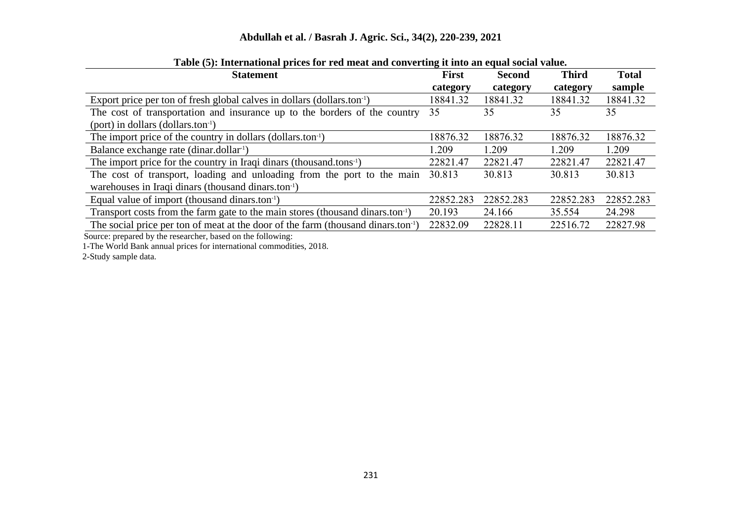### **Abdullah et al. / Basrah J. Agric. Sci., 34(2), 220-239, 2021**

| Tuble (e)) miteriational prices for rea meat and converting it mes an equal social value   |              |               |              |              |  |  |  |  |
|--------------------------------------------------------------------------------------------|--------------|---------------|--------------|--------------|--|--|--|--|
| <b>Statement</b>                                                                           | <b>First</b> | <b>Second</b> | <b>Third</b> | <b>Total</b> |  |  |  |  |
|                                                                                            | category     | category      | category     | sample       |  |  |  |  |
| Export price per ton of fresh global calves in dollars (dollars.ton-1)                     | 18841.32     | 18841.32      | 18841.32     | 18841.32     |  |  |  |  |
| The cost of transportation and insurance up to the borders of the country                  | 35           | 35            | 35           | 35           |  |  |  |  |
| $(port)$ in dollars $(dollars.ton-1)$                                                      |              |               |              |              |  |  |  |  |
| The import price of the country in dollars (dollars.ton-1)                                 | 18876.32     | 18876.32      | 18876.32     | 18876.32     |  |  |  |  |
| Balance exchange rate (dinar.dollar <sup>1</sup> )                                         | 1.209        | 1.209         | 1.209        | 1.209        |  |  |  |  |
| The import price for the country in Iraqi dinars (thousand.tons <sup>1</sup> )             | 22821.47     | 22821.47      | 22821.47     | 22821.47     |  |  |  |  |
| The cost of transport, loading and unloading from the port to the main                     | 30.813       | 30.813        | 30.813       | 30.813       |  |  |  |  |
| warehouses in Iraqi dinars (thousand dinars.ton-1)                                         |              |               |              |              |  |  |  |  |
| Equal value of import (thousand dinars.ton-1)                                              | 22852.283    | 22852.283     | 22852.283    | 22852.283    |  |  |  |  |
| Transport costs from the farm gate to the main stores (thousand dinars.ton <sup>-1</sup> ) | 20.193       | 24.166        | 35.554       | 24.298       |  |  |  |  |
| The social price per ton of meat at the door of the farm (thousand dinars.ton-1)           | 22832.09     | 22828.11      | 22516.72     | 22827.98     |  |  |  |  |
| Source: prepared by the researcher, based on the following:                                |              |               |              |              |  |  |  |  |

#### **Table (5): International prices for red meat and converting it into an equal social value.**

1-The World Bank annual prices for international commodities, 2018.

2-Study sample data.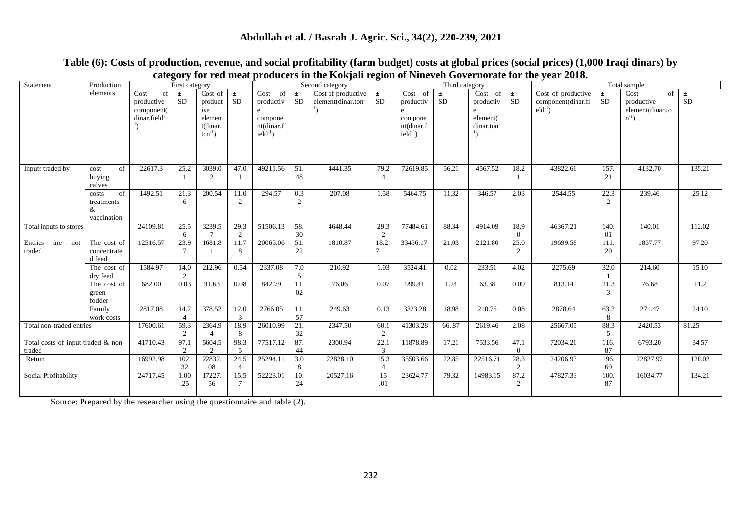### **Abdullah et al. / Basrah J. Agric. Sci., 34(2), 220-239, 2021**

| Statement                                    | Production                                    |                                                       | First category         |                                                                 |                                  |                                                                       |                    | Second category                                      |                                  |                                                                                  | Third category     |                                                      |                        |                                                        |                       | Total sample                                               |                    |
|----------------------------------------------|-----------------------------------------------|-------------------------------------------------------|------------------------|-----------------------------------------------------------------|----------------------------------|-----------------------------------------------------------------------|--------------------|------------------------------------------------------|----------------------------------|----------------------------------------------------------------------------------|--------------------|------------------------------------------------------|------------------------|--------------------------------------------------------|-----------------------|------------------------------------------------------------|--------------------|
|                                              | elements                                      | Cost<br>of<br>productive<br>component(<br>dinar.field | $\pm$<br><b>SD</b>     | Cost of<br>product<br>ive<br>elemen<br>t(dinar.<br>$ton^{-1}$ ) | $\pm$<br><b>SD</b>               | Cost<br>of<br>productiv<br>e<br>compone<br>nt(dinar.f<br>$ield^{-1})$ | $\pm$<br><b>SD</b> | Cost of productive<br>element(dinar.ton <sup>-</sup> | $\pm$<br>SD                      | Cost of<br>productiv<br>e<br>compone<br>nt(dinar.f<br>$i$ eld $i$ <sup>1</sup> ) | $\pm$<br><b>SD</b> | $Cost$ of<br>productiv<br>e<br>element(<br>dinar.ton | $\pm$<br>$\rm SD$      | Cost of productive<br>component(dinar.fi<br>$eld^{-1}$ | $\pm$<br><b>SD</b>    | Cost<br>of<br>productive<br>element(dinar.to<br>$n^{-1}$ ) | $\pm$<br><b>SD</b> |
| Inputs traded by                             | of<br>cost<br>buying<br>calves                | 22617.3                                               | 25.2                   | 3039.0<br>2                                                     | 47.0                             | 49211.56                                                              | 51.<br>48          | 4441.35                                              | 79.2<br>$\overline{4}$           | 72619.85                                                                         | 56.21              | 4567.52                                              | 18.2<br>-1             | 43822.66                                               | 157.<br>21            | 4132.70                                                    | 135.21             |
|                                              | of<br>costs<br>treatments<br>&<br>vaccination | 1492.51                                               | 21.3<br>6              | 200.54                                                          | 11.0<br>2                        | 294.57                                                                | 0.3<br>2           | 207.08                                               | 1.58                             | 5464.75                                                                          | 11.32              | 346.57                                               | 2.03                   | 2544.55                                                | 22.3<br>2             | 239.46                                                     | 25.12              |
| Total inputs to stores                       |                                               | 24109.81                                              | 25.5<br>6              | 3239.5                                                          | 29.3<br>2                        | 51506.13                                                              | 58.<br>30          | 4648.44                                              | 29.3<br>2                        | 77484.61                                                                         | 88.34              | 4914.09                                              | 18.9<br>$\Omega$       | 46367.21                                               | 140.<br>01            | 140.01                                                     | 112.02             |
| Entries<br>are not<br>traded                 | The cost of<br>concentrate<br>d feed          | 12516.57                                              | 23.9                   | 1681.8                                                          | 11.7<br>8                        | 20065.06                                                              | 51.<br>22          | 1810.87                                              | 18.2                             | 33456.17                                                                         | 21.03              | 2121.80                                              | 25.0<br>2              | 19699.58                                               | 111.<br>20            | 1857.77                                                    | 97.20              |
|                                              | The cost of<br>dry feed                       | 1584.97                                               | 14.0<br>$\mathcal{D}$  | 212.96                                                          | 0.54                             | 2337.08                                                               | 7.0<br>5           | 210.92                                               | 1.03                             | 3524.41                                                                          | 0.02               | 233.51                                               | 4.02                   | 2275.69                                                | 32.0                  | 214.60                                                     | 15.10              |
|                                              | The cost of<br>green<br>fodder                | 682.00                                                | 0.03                   | 91.63                                                           | 0.08                             | 842.79                                                                | 11.<br>02          | 76.06                                                | 0.07                             | 999.41                                                                           | 1.24               | 63.38                                                | 0.09                   | 813.14                                                 | 21.3<br>$\mathcal{R}$ | 76.68                                                      | 11.2               |
|                                              | Family<br>work costs                          | 2817.08                                               | 14.2                   | 378.52                                                          | 12.0<br>3                        | 2766.05                                                               | 11.<br>57          | 249.63                                               | 0.13                             | 3323.28                                                                          | 18.98              | 210.76                                               | 0.08                   | 2878.64                                                | 63.2<br>8             | 271.47                                                     | 24.10              |
| Total non-traded entries                     |                                               | 17600.61                                              | 59.3<br>2              | 2364.9                                                          | 18.9<br>8                        | 26010.99                                                              | 21.<br>32          | 2347.50                                              | 60.1<br>2                        | 41303.28                                                                         | 66.87              | 2619.46                                              | 2.08                   | 25667.05                                               | 88.3<br>5             | 2420.53                                                    | 81.25              |
| Total costs of input traded & non-<br>traded |                                               | 41710.43                                              | 97.1<br>$\overline{c}$ | 5604.5<br>$\mathfrak{D}$                                        | 98.3<br>.5                       | 77517.12                                                              | 87.<br>44          | 2300.94                                              | 22.1<br>3                        | 11878.89                                                                         | 17.21              | 7533.56                                              | 47.1<br>$\Omega$       | 72034.26                                               | 116.<br>87            | 6793.20                                                    | 34.57              |
| Return                                       |                                               | 16992.98                                              | 102<br>32              | 22832.<br>08                                                    | 24.5<br>$\boldsymbol{\varDelta}$ | 25294.11                                                              | 3.0<br>8           | 22828.10                                             | 15.3<br>$\boldsymbol{\varDelta}$ | 35503.66                                                                         | 22.85              | 22516.71                                             | 28.3<br>$\overline{2}$ | 24206.93                                               | 196.<br>69            | 22827.97                                                   | 128.02             |
| Social Profitability                         |                                               | 24717.45                                              | 1.00<br>.25            | 17227.<br>56                                                    | 15.5                             | 52223.01                                                              | 10.<br>24          | 20527.16                                             | 15<br>.01                        | 23624.77                                                                         | 79.32              | 14983.15                                             | 87.2<br>$\overline{2}$ | 47827.33                                               | 100.<br>87            | 16034.77                                                   | 134.21             |
|                                              |                                               |                                                       |                        |                                                                 |                                  |                                                                       |                    |                                                      |                                  |                                                                                  |                    |                                                      |                        |                                                        |                       |                                                            |                    |

### **Table (6): Costs of production, revenue, and social profitability (farm budget) costs at global prices (social prices) (1,000 Iraqi dinars) by category for red meat producers in the Kokjali region of Nineveh Governorate for the year 2018.**

Source: Prepared by the researcher using the questionnaire and table (2).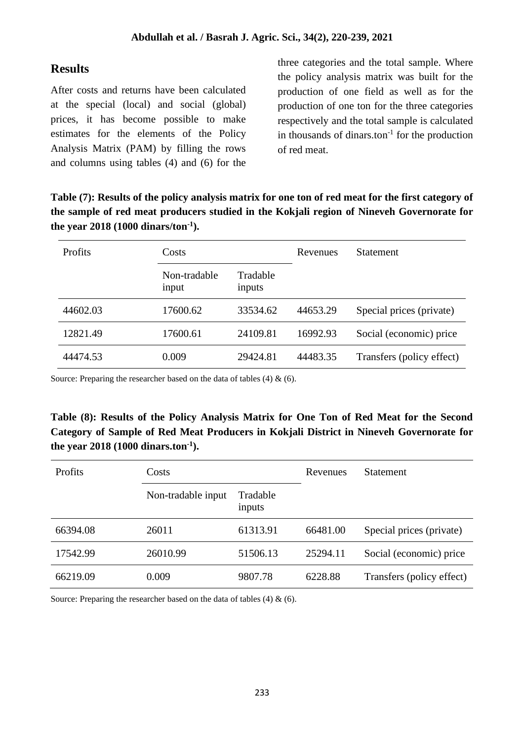# **Results**

After costs and returns have been calculated at the special (local) and social (global) prices, it has become possible to make estimates for the elements of the Policy Analysis Matrix (PAM) by filling the rows and columns using tables (4) and (6) for the

three categories and the total sample. Where the policy analysis matrix was built for the production of one field as well as for the production of one ton for the three categories respectively and the total sample is calculated in thousands of dinars.ton $^{-1}$  for the production of red meat.

**Table (7): Results of the policy analysis matrix for one ton of red meat for the first category of the sample of red meat producers studied in the Kokjali region of Nineveh Governorate for the year 2018 (1000 dinars/ton-1 ).**

| Profits  | Costs                 |                    | Revenues | <b>Statement</b>          |
|----------|-----------------------|--------------------|----------|---------------------------|
|          | Non-tradable<br>input | Tradable<br>inputs |          |                           |
| 44602.03 | 17600.62              | 33534.62           | 44653.29 | Special prices (private)  |
| 12821.49 | 17600.61              | 24109.81           | 16992.93 | Social (economic) price   |
| 44474.53 | 0.009                 | 29424.81           | 44483.35 | Transfers (policy effect) |

Source: Preparing the researcher based on the data of tables  $(4)$  &  $(6)$ .

**Table (8): Results of the Policy Analysis Matrix for One Ton of Red Meat for the Second Category of Sample of Red Meat Producers in Kokjali District in Nineveh Governorate for the year 2018 (1000 dinars.ton-1 ).**

| Profits  | Costs              |                    | Revenues | <b>Statement</b>          |  |  |
|----------|--------------------|--------------------|----------|---------------------------|--|--|
|          | Non-tradable input | Tradable<br>inputs |          |                           |  |  |
| 66394.08 | 26011              | 61313.91           | 66481.00 | Special prices (private)  |  |  |
| 17542.99 | 26010.99           | 51506.13           | 25294.11 | Social (economic) price   |  |  |
| 66219.09 | 0.009              | 9807.78            | 6228.88  | Transfers (policy effect) |  |  |

Source: Preparing the researcher based on the data of tables  $(4) \& (6)$ .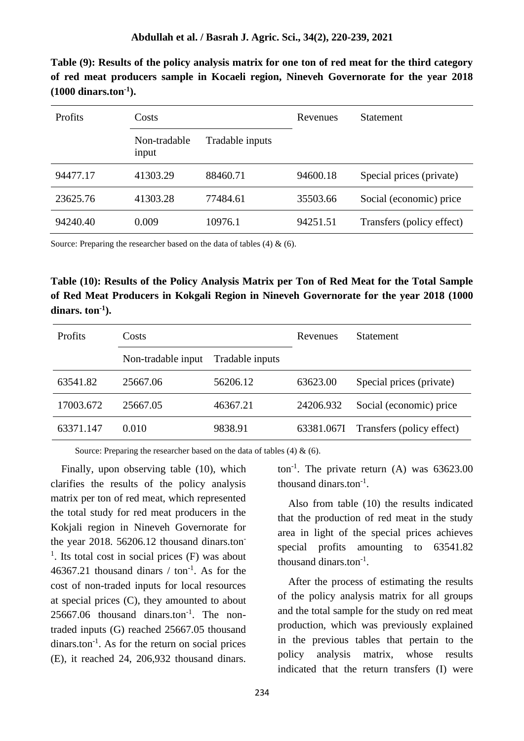**Table (9): Results of the policy analysis matrix for one ton of red meat for the third category of red meat producers sample in Kocaeli region, Nineveh Governorate for the year 2018 (1000 dinars.ton-1 ).**

| <b>Profits</b> | Costs                 |                 | Revenues | <b>Statement</b>          |  |  |
|----------------|-----------------------|-----------------|----------|---------------------------|--|--|
|                | Non-tradable<br>input | Tradable inputs |          |                           |  |  |
| 94477.17       | 41303.29              | 88460.71        | 94600.18 | Special prices (private)  |  |  |
| 23625.76       | 41303.28              | 77484.61        | 35503.66 | Social (economic) price   |  |  |
| 94240.40       | 0.009                 | 10976.1         | 94251.51 | Transfers (policy effect) |  |  |

Source: Preparing the researcher based on the data of tables  $(4) \& (6)$ .

**Table (10): Results of the Policy Analysis Matrix per Ton of Red Meat for the Total Sample of Red Meat Producers in Kokgali Region in Nineveh Governorate for the year 2018 (1000 dinars. ton-1 ).**

| <b>Profits</b> | Costs              |                 | Revenues   | <b>Statement</b>          |
|----------------|--------------------|-----------------|------------|---------------------------|
|                | Non-tradable input | Tradable inputs |            |                           |
| 63541.82       | 25667.06           | 56206.12        | 63623.00   | Special prices (private)  |
| 17003.672      | 25667.05           | 46367.21        | 24206.932  | Social (economic) price   |
| 63371.147      | 0.010              | 9838.91         | 63381.067I | Transfers (policy effect) |

Source: Preparing the researcher based on the data of tables  $(4) \& (6)$ .

 Finally, upon observing table (10), which clarifies the results of the policy analysis matrix per ton of red meat, which represented the total study for red meat producers in the Kokjali region in Nineveh Governorate for the year 2018. 56206.12 thousand dinars.ton- $<sup>1</sup>$ . Its total cost in social prices (F) was about</sup>  $46367.21$  thousand dinars / ton<sup>-1</sup>. As for the cost of non-traded inputs for local resources at special prices (C), they amounted to about  $25667.06$  thousand dinars.ton<sup>-1</sup>. The nontraded inputs (G) reached 25667.05 thousand dinars.ton<sup>-1</sup>. As for the return on social prices (E), it reached 24, 206,932 thousand dinars.

ton<sup>-1</sup>. The private return  $(A)$  was 63623.00 thousand dinars.ton $^{-1}$ .

 Also from table (10) the results indicated that the production of red meat in the study area in light of the special prices achieves special profits amounting to 63541.82 thousand dinars.ton<sup>-1</sup>.

 After the process of estimating the results of the policy analysis matrix for all groups and the total sample for the study on red meat production, which was previously explained in the previous tables that pertain to the policy analysis matrix, whose results indicated that the return transfers (I) were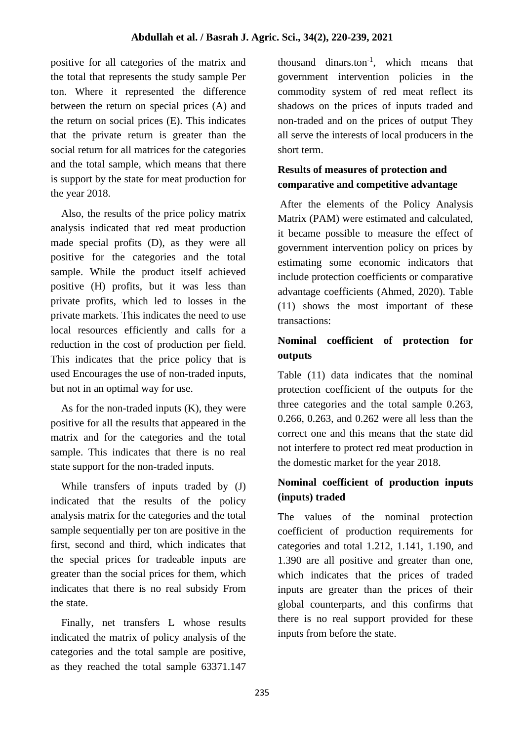positive for all categories of the matrix and the total that represents the study sample Per ton. Where it represented the difference between the return on special prices (A) and the return on social prices (E). This indicates that the private return is greater than the social return for all matrices for the categories and the total sample, which means that there is support by the state for meat production for the year 2018.

 Also, the results of the price policy matrix analysis indicated that red meat production made special profits (D), as they were all positive for the categories and the total sample. While the product itself achieved positive (H) profits, but it was less than private profits, which led to losses in the private markets. This indicates the need to use local resources efficiently and calls for a reduction in the cost of production per field. This indicates that the price policy that is used Encourages the use of non-traded inputs, but not in an optimal way for use.

As for the non-traded inputs  $(K)$ , they were positive for all the results that appeared in the matrix and for the categories and the total sample. This indicates that there is no real state support for the non-traded inputs.

 While transfers of inputs traded by (J) indicated that the results of the policy analysis matrix for the categories and the total sample sequentially per ton are positive in the first, second and third, which indicates that the special prices for tradeable inputs are greater than the social prices for them, which indicates that there is no real subsidy From the state.

 Finally, net transfers L whose results indicated the matrix of policy analysis of the categories and the total sample are positive, as they reached the total sample 63371.147 thousand dinars.ton-1 , which means that government intervention policies in the commodity system of red meat reflect its shadows on the prices of inputs traded and non-traded and on the prices of output They all serve the interests of local producers in the short term.

# **Results of measures of protection and comparative and competitive advantage**

After the elements of the Policy Analysis Matrix (PAM) were estimated and calculated, it became possible to measure the effect of government intervention policy on prices by estimating some economic indicators that include protection coefficients or comparative advantage coefficients (Ahmed, 2020). Table (11) shows the most important of these transactions:

# **Nominal coefficient of protection for outputs**

Table (11) data indicates that the nominal protection coefficient of the outputs for the three categories and the total sample 0.263, 0.266, 0.263, and 0.262 were all less than the correct one and this means that the state did not interfere to protect red meat production in the domestic market for the year 2018.

## **Nominal coefficient of production inputs (inputs) traded**

The values of the nominal protection coefficient of production requirements for categories and total 1.212, 1.141, 1.190, and 1.390 are all positive and greater than one, which indicates that the prices of traded inputs are greater than the prices of their global counterparts, and this confirms that there is no real support provided for these inputs from before the state.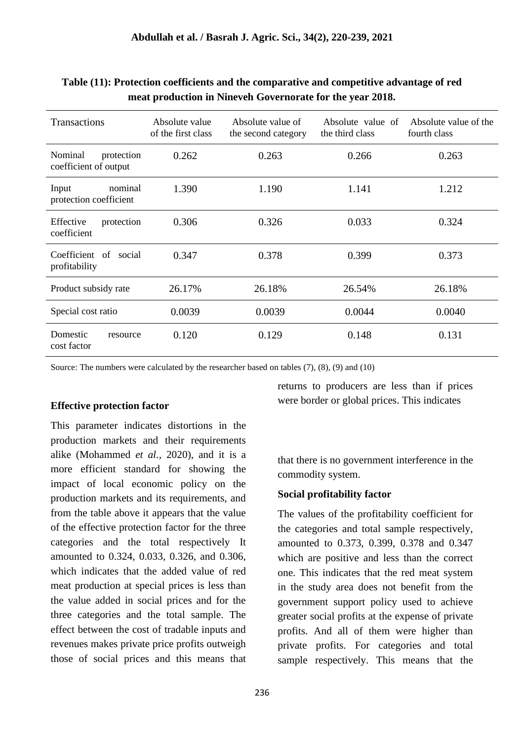| <b>Transactions</b>                            | Absolute value<br>of the first class | Absolute value of<br>the second category | Absolute value of<br>the third class | Absolute value of the<br>fourth class |
|------------------------------------------------|--------------------------------------|------------------------------------------|--------------------------------------|---------------------------------------|
| Nominal<br>protection<br>coefficient of output | 0.262                                | 0.263                                    | 0.266                                | 0.263                                 |
| nominal<br>Input<br>protection coefficient     | 1.390                                | 1.190                                    | 1.141                                | 1.212                                 |
| Effective<br>protection<br>coefficient         | 0.306                                | 0.326                                    | 0.033                                | 0.324                                 |
| Coefficient of social<br>profitability         | 0.347                                | 0.378                                    | 0.399                                | 0.373                                 |
| Product subsidy rate                           | 26.17%                               | 26.18%                                   | 26.54%                               | 26.18%                                |
| Special cost ratio                             | 0.0039                               | 0.0039                                   | 0.0044                               | 0.0040                                |
| Domestic<br>resource<br>cost factor            | 0.120                                | 0.129                                    | 0.148                                | 0.131                                 |

**Table (11): Protection coefficients and the comparative and competitive advantage of red meat production in Nineveh Governorate for the year 2018.**

Source: The numbers were calculated by the researcher based on tables (7), (8), (9) and (10)

### **Effective protection factor**

This parameter indicates distortions in the production markets and their requirements alike (Mohammed *et al.,* 2020), and it is a more efficient standard for showing the impact of local economic policy on the production markets and its requirements, and from the table above it appears that the value of the effective protection factor for the three categories and the total respectively It amounted to 0.324, 0.033, 0.326, and 0.306, which indicates that the added value of red meat production at special prices is less than the value added in social prices and for the three categories and the total sample. The effect between the cost of tradable inputs and revenues makes private price profits outweigh those of social prices and this means that returns to producers are less than if prices were border or global prices. This indicates

that there is no government interference in the commodity system.

### **Social profitability factor**

The values of the profitability coefficient for the categories and total sample respectively, amounted to 0.373, 0.399, 0.378 and 0.347 which are positive and less than the correct one. This indicates that the red meat system in the study area does not benefit from the government support policy used to achieve greater social profits at the expense of private profits. And all of them were higher than private profits. For categories and total sample respectively. This means that the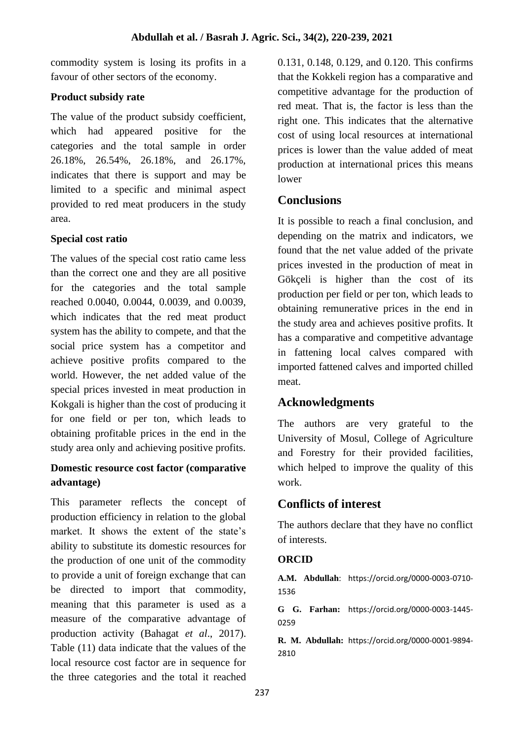commodity system is losing its profits in a favour of other sectors of the economy.

### **Product subsidy rate**

The value of the product subsidy coefficient, which had appeared positive for the categories and the total sample in order 26.18%, 26.54%, 26.18%, and 26.17%, indicates that there is support and may be limited to a specific and minimal aspect provided to red meat producers in the study area.

### **Special cost ratio**

The values of the special cost ratio came less than the correct one and they are all positive for the categories and the total sample reached 0.0040, 0.0044, 0.0039, and 0.0039, which indicates that the red meat product system has the ability to compete, and that the social price system has a competitor and achieve positive profits compared to the world. However, the net added value of the special prices invested in meat production in Kokgali is higher than the cost of producing it for one field or per ton, which leads to obtaining profitable prices in the end in the study area only and achieving positive profits.

## **Domestic resource cost factor (comparative advantage)**

This parameter reflects the concept of production efficiency in relation to the global market. It shows the extent of the state's ability to substitute its domestic resources for the production of one unit of the commodity to provide a unit of foreign exchange that can be directed to import that commodity, meaning that this parameter is used as a measure of the comparative advantage of production activity (Bahagat *et al*., 2017). Table (11) data indicate that the values of the local resource cost factor are in sequence for the three categories and the total it reached

0.131, 0.148, 0.129, and 0.120. This confirms that the Kokkeli region has a comparative and competitive advantage for the production of red meat. That is, the factor is less than the right one. This indicates that the alternative cost of using local resources at international prices is lower than the value added of meat production at international prices this means lower

## **Conclusions**

It is possible to reach a final conclusion, and depending on the matrix and indicators, we found that the net value added of the private prices invested in the production of meat in Gökçeli is higher than the cost of its production per field or per ton, which leads to obtaining remunerative prices in the end in the study area and achieves positive profits. It has a comparative and competitive advantage in fattening local calves compared with imported fattened calves and imported chilled meat.

# **Acknowledgments**

The authors are very grateful to the University of Mosul, College of Agriculture and Forestry for their provided facilities, which helped to improve the quality of this work.

# **Conflicts of interest**

The authors declare that they have no conflict of interests.

## **ORCID**

**A.M. Abdullah**: https://orcid.org/0000-0003-0710- 1536

**G G. Farhan:** https://orcid.org/0000-0003-1445- 0259

**R. M. Abdullah:** https://orcid.org/0000-0001-9894- 2810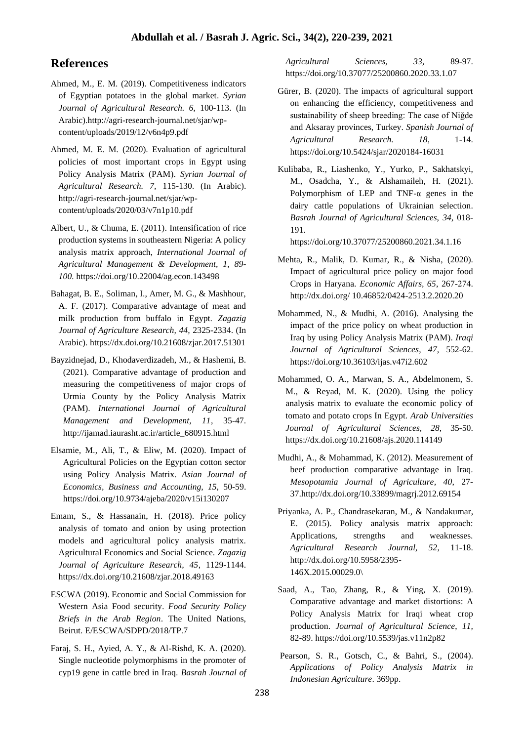### **References**

- Ahmed, M., E. M. (2019). Competitiveness indicators of Egyptian potatoes in the global market. *Syrian Journal of Agricultural Research. 6,* 100-113. (In Arabic).http://agri-research-journal.net/sjar/wpcontent/uploads/2019/12/v6n4p9.pdf
- Ahmed, M. E. M. (2020). Evaluation of agricultural policies of most important crops in Egypt using Policy Analysis Matrix (PAM). *Syrian Journal of Agricultural Research. 7,* 115-130. (In Arabic). http://agri-research-journal.net/sjar/wpcontent/uploads/2020/03/v7n1p10.pdf
- Albert, U., & Chuma, E. (2011). Intensification of rice production systems in southeastern Nigeria: A policy analysis matrix approach, *International Journal of Agricultural Management & Development, 1, 89- 100.* https://doi.org/10.22004/ag.econ.143498
- Bahagat, B. E., Soliman, I., Amer, M. G., & Mashhour, A. F. (2017). Comparative advantage of meat and milk production from buffalo in Egypt. *Zagazig Journal of Agriculture Research, 44,* 2325-2334. (In Arabic). https://dx.doi.org/10.21608/zjar.2017.51301
- Bayzidnejad, D., Khodaverdizadeh, M., & Hashemi, B. (2021). Comparative advantage of production and measuring the competitiveness of major crops of Urmia County by the Policy Analysis Matrix (PAM). *International Journal of Agricultural Management and Development, 11*, 35-47. http://ijamad.iaurasht.ac.ir/article\_680915.html
- Elsamie, M., Ali, T., & Eliw, M. (2020). Impact of Agricultural Policies on the Egyptian cotton sector using Policy Analysis Matrix. *Asian Journal of Economics, Business and Accounting, 15,* 50-59. https://doi.org/10.9734/ajeba/2020/v15i130207
- Emam, S., & Hassanain, H. (2018). Price policy analysis of tomato and onion by using protection models and agricultural policy analysis matrix. Agricultural Economics and Social Science. *Zagazig Journal of Agriculture Research, 45*, 1129-1144. https://dx.doi.org/10.21608/zjar.2018.49163
- ESCWA (2019). Economic and Social Commission for Western Asia Food security. *Food Security Policy Briefs in the Arab Region*. The United Nations, Beirut. E/ESCWA/SDPD/2018/TP.7
- Faraj, S. H., Ayied, A. Y., & Al-Rishd, K. A. (2020). Single nucleotide polymorphisms in the promoter of cyp19 gene in cattle bred in Iraq. *Basrah Journal of*

*Agricultural Sciences, 33,* 89-97. https://doi.org/10.37077/25200860.2020.33.1.07

- Gürer, B. (2020). The impacts of agricultural support on enhancing the efficiency, competitiveness and sustainability of sheep breeding: The case of Niğde and Aksaray provinces, Turkey. *Spanish Journal of Agricultural Research. 18*, 1-14. https://doi.org/10.5424/sjar/2020184-16031
- Kulibaba, R., Liashenko, Y., Yurko, P., Sakhatskyi, M., Osadcha, Y., & Alshamaileh, H. (2021). Polymorphism of LEP and TNF- $\alpha$  genes in the dairy cattle populations of Ukrainian selection. *Basrah Journal of Agricultural Sciences, 34,* 018- 191.

https://doi.org/10.37077/25200860.2021.34.1.16

- Mehta, R., Malik, D. Kumar, R., & Nisha, (2020). Impact of agricultural price policy on major food Crops in Haryana. *Economic Affairs, 65*, 267-274. http://dx.doi.org/ 10.46852/0424-2513.2.2020.20
- Mohammed, N., & Mudhi, A. (2016). Analysing the impact of the price policy on wheat production in Iraq by using Policy Analysis Matrix (PAM). *Iraqi Journal of Agricultural Sciences*, *47,* 552-62. https://doi.org/10.36103/ijas.v47i2.602
- Mohammed, O. A., Marwan, S. A., Abdelmonem, S. M., & Reyad, M. K. (2020). Using the policy analysis matrix to evaluate the economic policy of tomato and potato crops In Egypt. *Arab Universities Journal of Agricultural Sciences, 28,* 35-50. https://dx.doi.org/10.21608/ajs.2020.114149
- Mudhi, A., & Mohammad, K. (2012). Measurement of beef production comparative advantage in Iraq. *Mesopotamia Journal of Agriculture, 40*, 27- 37.http://dx.doi.org/10.33899/magrj.2012.69154
- Priyanka, A. P., Chandrasekaran, M., & Nandakumar, E. (2015). Policy analysis matrix approach: Applications, strengths and weaknesses. *Agricultural Research Journal, 52*, 11-18. http://dx.doi.org/10.5958/2395- 146X.2015.00029.0\
- Saad, A., Tao, Zhang, R., & Ying, X. (2019). Comparative advantage and market distortions: A Policy Analysis Matrix for Iraqi wheat crop production. *Journal of Agricultural Science*, *11,* 82-89. https://doi.org/10.5539/jas.v11n2p82
- Pearson, S. R., Gotsch, C., & Bahri, S., (2004). *Applications of Policy Analysis Matrix in Indonesian Agriculture*. 369pp.